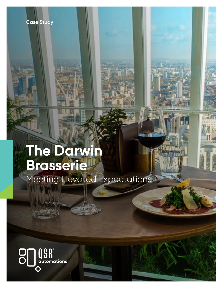

**Case Study** 

Meeting Elevated Expectations

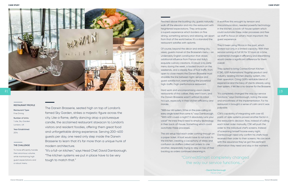

| 3

The Darwin Brasserie, seated high on top of London's famed Sky Garden, strikes a majestic figure across the city. Like a flame, deftly dancing atop a picturesque candle, the acclaimed restaurant staxacon to London's visitors and resident foodies, offering them great food and unforgettable dining experience. Serving 200-400 guests per day, one need only step inside the Darwin Brasserie to learn that it's far more than a unique hunk of modern architecture.

"It's a full-on kitchen," says Head Chef, David Darnborough. "The kitchen systems we put in place have to be very tough to match that."

### THE CHALLENGE

To more efficiently handle their enormous volume, while maintaining high guest expectations and a robust menu.

## RESTAURANT PROFILE

Restaurant Type: Fine Dining

Number of Units: 1 site, Sky Garden London, UK

Year Established: 2014

Perched above the bustling city, guests naturally walk off the elevator and into the restaurant with heightened expectations. They anticipate a superb experience which borders on fine dining, something sensory and relaxing, set apart from that of the world below. It's a standard the restaurant satisfies with aplomb. A workflow this wrought by tension and miscommunication, needed powerful technology in the kitchen, a back-of-house system which could automate these order processes and free up staff to focus on what's most important: the guest experience.

Of course, beyond the décor and striking city views, guests marvel at the Brasserie's menu - an undeniably English construction that draws additional influence from France and Italy's exquisite culinary creations. A robust a la carte menu during the week, a lauded brunch on the weekends, and a steady flow of foot traffic from open to close means the Darwin Brasserie must straddle the line between tight-service and guest satisfaction, exemplifying the proverbial high-traffic/high-performance restaurant. They'd been using Micros in the past, which worked but only in a limited capacity. With their service running at full tilt for 12 hours at a time, incremental changes in efficiency and streamlining would create a significant difference for them overall. They opted to bring ConnectSmart Kitchen (CSK), QSR Automations' flagship product and industry-leading kitchen display system, into their operation. Citing QSR's veritable blend of experience and the bevy of clients already using their system, it felt like a no-brainer for the Brasserie.

voice!" He knew they'd need to employ technology in their back-of-house. Something which could automate these processes. The old setup had each order coming through on a paper ticket. A host would have to run back to the kitchen, creating a cacophony of stress and confusion as staffers called out orders to one another, desperately trying to stay on top of their backlog as orders continued streaming in.

Hard work and uncompromising vision create restaurants of this caliber, they aren't born, and the Darwin Brasserie wasn't without its initial hiccups, especially in their kitchen efficiency and morale. "It's completely changed the way our service functions," says Darnborough, noting the ease and smoothness of the implementation. For his restaurant it brought a sense of calm and it was palpable.

"With our old system, I'd be on the pass calling on every single ticket that came in," says Darnborough. "With 400 covers a night? It absolutely ruins your CSK's capability of integrating with over 65 point-of-sale systems proved another factor in the restaurant's decision. Now, instead of calling each ticket order manually, CSK will push the order to the individual chef's screens. Instead of screaming himself hoarse every night, Darnborough need only confirm his chefs have received their order to their screens. He can work with the assurance they've got the pertinent information they need and stay in the moment.

# "ConnectSmart completely changed the way our service functions... "

**- David Darnborough**  Head Chef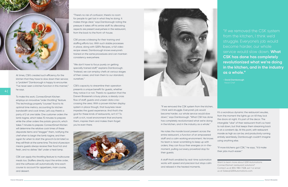

"There's no risk of confusion; there's no room for people to get lost in what they're doing. It makes things clear," says Darnborough noting the pressure it takes off his entire staff. Its alleviating aspects are present everywhere in the restaurant, from the back to the front-of-house.

CSK proves a blessing for their training and staffing efforts too. With such stable processes in place, along with QSR's Recipes, a full video recipe viewer, Darnborough knows everyone's trained on the same procedures and can maintain consistency everywhere.

"We don't have to focus purely on getting specially trained staff," explains Darnborough. "Instead, we can employ chefs at various stages of their career, and train them to our standard, ourselves."

CSK's capacity to streamline their operation presents a unique benefit for guests, whether they notice it or not. There's no question that the Darwin Brasserie's a busy place, a steady cross flow of staff, guests and unseen data crisscrossing the area. With a proven kitchen display system in place though, that busyness never impedes the guest experience. And that's the goal for these kinds of restaurants, isn't it? To craft a rich, novel environment that enchants them, inspires them and makes them forget you're even there.





At times, CSK's created such efficiency for the kitchen that they have to slow down their service; a "problem" Darnborough is happy to encounter. "I've never seen a kitchen function in this manner," he says.

To make this work, ConnectSmart Kitchen employs an innovative "order throttling" feature. This technology properly "courses" food to its optimal time metrics, accounting for kitchen bandwidth and cook times. Let's say there's a party of 2 at one table. One customer orders the lamb tagine, which takes 15 minutes to prepare while the other orders the potato gnocchi, which takes 7 minutes to prepare. ConnectSmart Kitchen will determine the relative cook times of these disparate items and "stagger" them, notifying the chef when to begin the lamb tagine, and then again for when to start the gnocchi (a bit later) so they will finish at the same time. This kind of precision means guests always receive their food hot and fresh, and no dishes "die" under a heat lamp.

CSK can apply this throttling feature to multicourse meals too. Staffers directly input the entire order, and the software will automatically time each course to account for appetizers, main course, and dessert.

 "If we removed the CSK system from the kitchen, I think we'd struggle. Everyone's job would become harder, our whole service would slow down," says Darnborough. "What CSK has done has completely revolutionized what we're doing in the kitchen, and in the industry as a whole."

He notes the morale boost present across the entire restaurant, a function of an empowered staff and a calm working environment. He knows his team is never scrambling to keep up with orders; they can focus their energies on in-themoment, pulling out every proverbial stop for their guests.

A staff that's enabled by real-time automation works with speed and precision but stays calm and relaxed in the heated moments.

It's a wondrous dynamic the restaurant exudes, from the moment the lights go on till they lock the doors at night. It's part of the decor. The intangible "vibe" of their restaurant that's so hard to nail down, but that keeps them streaming back in at a constant clip. At this point, with restaurant morale as high as can be, and productivity running entirely seamlessly, Darnborough couldn't imagine using anything else.

"If more kitchens got CSK," he says, "it'd make their jobs much easier."

Want to learn more about QSR Automations ConnectSsmart restaurant solutions? Contact us at 855-980-7328, ext 1 or email us at Sales@QSRAutomations.com.

"If we removed the CSK system from the kitchen, I think we'd struggle. Everyone's job would become harder, our whole service would slow down. **What CSK has done has completely revolutionized what we're doing in the kitchen, and in the industry as a whole."**

**- David Darnborough**  Head Chef